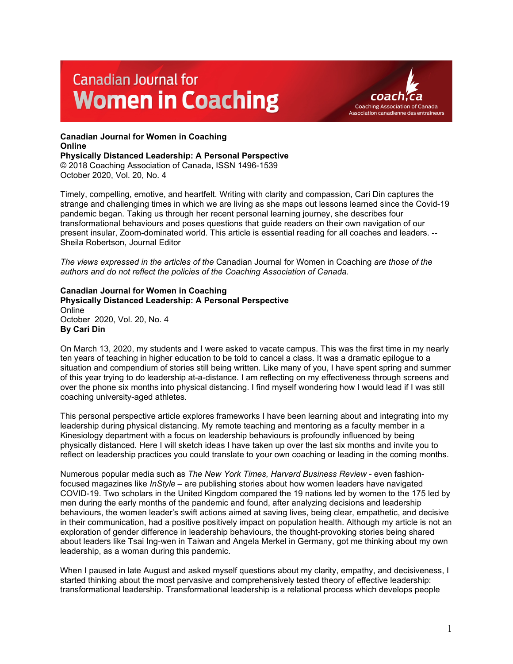# **Canadian Journal for Women in Coaching**



## **Canadian Journal for Women in Coaching Online**

**Physically Distanced Leadership: A Personal Perspective**

© 2018 Coaching Association of Canada, ISSN 1496-1539 October 2020, Vol. 20, No. 4

Timely, compelling, emotive, and heartfelt. Writing with clarity and compassion, Cari Din captures the strange and challenging times in which we are living as she maps out lessons learned since the Covid-19 pandemic began. Taking us through her recent personal learning journey, she describes four transformational behaviours and poses questions that guide readers on their own navigation of our present insular, Zoom-dominated world. This article is essential reading for all coaches and leaders. -- Sheila Robertson, Journal Editor

*The views expressed in the articles of the* Canadian Journal for Women in Coaching *are those of the authors and do not reflect the policies of the Coaching Association of Canada.*

#### **Canadian Journal for Women in Coaching Physically Distanced Leadership: A Personal Perspective Online**

October 2020, Vol. 20, No. 4 **By Cari Din** 

On March 13, 2020, my students and I were asked to vacate campus. This was the first time in my nearly ten years of teaching in higher education to be told to cancel a class. It was a dramatic epilogue to a situation and compendium of stories still being written. Like many of you, I have spent spring and summer of this year trying to do leadership at-a-distance. I am reflecting on my effectiveness through screens and over the phone six months into physical distancing. I find myself wondering how I would lead if I was still coaching university-aged athletes.

This personal perspective article explores frameworks I have been learning about and integrating into my leadership during physical distancing. My remote teaching and mentoring as a faculty member in a Kinesiology department with a focus on leadership behaviours is profoundly influenced by being physically distanced. Here I will sketch ideas I have taken up over the last six months and invite you to reflect on leadership practices you could translate to your own coaching or leading in the coming months.

Numerous popular media such as *The New York Times, Harvard Business Review* - even fashionfocused magazines like *InStyle* – are publishing stories about how women leaders have navigated COVID-19. Two scholars in the United Kingdom compared the 19 nations led by women to the 175 led by men during the early months of the pandemic and found, after analyzing decisions and leadership behaviours, the women leader's swift actions aimed at saving lives, being clear, empathetic, and decisive in their communication, had a positive positively impact on population health. Although my article is not an exploration of gender difference in leadership behaviours, the thought-provoking stories being shared about leaders like Tsai Ing-wen in Taiwan and Angela Merkel in Germany, got me thinking about my own leadership, as a woman during this pandemic.

When I paused in late August and asked myself questions about my clarity, empathy, and decisiveness, I started thinking about the most pervasive and comprehensively tested theory of effective leadership: transformational leadership. Transformational leadership is a relational process which develops people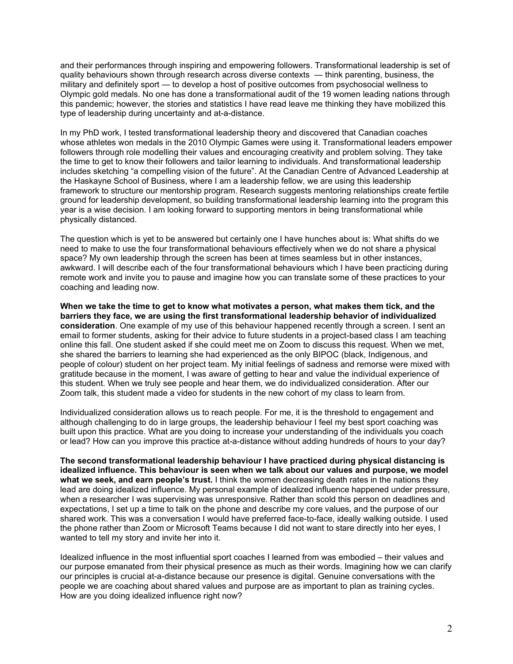and their performances through inspiring and empowering followers. Transformational leadership is set of quality behaviours shown through research across diverse contexts — think parenting, business, the military and definitely sport — to develop a host of positive outcomes from psychosocial wellness to Olympic gold medals. No one has done a transformational audit of the 19 women leading nations through this pandemic; however, the stories and statistics I have read leave me thinking they have mobilized this type of leadership during uncertainty and at-a-distance.

In my PhD work, I tested transformational leadership theory and discovered that Canadian coaches whose athletes won medals in the 2010 Olympic Games were using it. Transformational leaders empower followers through role modelling their values and encouraging creativity and problem solving. They take the time to get to know their followers and tailor learning to individuals. And transformational leadership includes sketching "a compelling vision of the future". At the Canadian Centre of Advanced Leadership at the Haskayne School of Business, where I am a leadership fellow, we are using this leadership framework to structure our mentorship program. Research suggests mentoring relationships create fertile ground for leadership development, so building transformational leadership learning into the program this year is a wise decision. I am looking forward to supporting mentors in being transformational while physically distanced.

The question which is yet to be answered but certainly one I have hunches about is: What shifts do we need to make to use the four transformational behaviours effectively when we do not share a physical space? My own leadership through the screen has been at times seamless but in other instances, awkward. I will describe each of the four transformational behaviours which I have been practicing during remote work and invite you to pause and imagine how you can translate some of these practices to your coaching and leading now.

**When we take the time to get to know what motivates a person, what makes them tick, and the barriers they face, we are using the first transformational leadership behavior of individualized consideration**. One example of my use of this behaviour happened recently through a screen. I sent an email to former students, asking for their advice to future students in a project-based class I am teaching online this fall. One student asked if she could meet me on Zoom to discuss this request. When we met, she shared the barriers to learning she had experienced as the only BIPOC (black, Indigenous, and people of colour) student on her project team. My initial feelings of sadness and remorse were mixed with gratitude because in the moment, I was aware of getting to hear and value the individual experience of this student. When we truly see people and hear them, we do individualized consideration. After our Zoom talk, this student made a video for students in the new cohort of my class to learn from.

Individualized consideration allows us to reach people. For me, it is the threshold to engagement and although challenging to do in large groups, the leadership behaviour I feel my best sport coaching was built upon this practice. What are you doing to increase your understanding of the individuals you coach or lead? How can you improve this practice at-a-distance without adding hundreds of hours to your day?

**The second transformational leadership behaviour I have practiced during physical distancing is idealized influence. This behaviour is seen when we talk about our values and purpose, we model what we seek, and earn people's trust.** I think the women decreasing death rates in the nations they lead are doing idealized influence. My personal example of idealized influence happened under pressure, when a researcher I was supervising was unresponsive. Rather than scold this person on deadlines and expectations, I set up a time to talk on the phone and describe my core values, and the purpose of our shared work. This was a conversation I would have preferred face-to-face, ideally walking outside. I used the phone rather than Zoom or Microsoft Teams because I did not want to stare directly into her eyes, I wanted to tell my story and invite her into it.

Idealized influence in the most influential sport coaches I learned from was embodied – their values and our purpose emanated from their physical presence as much as their words. Imagining how we can clarify our principles is crucial at-a-distance because our presence is digital. Genuine conversations with the people we are coaching about shared values and purpose are as important to plan as training cycles. How are you doing idealized influence right now?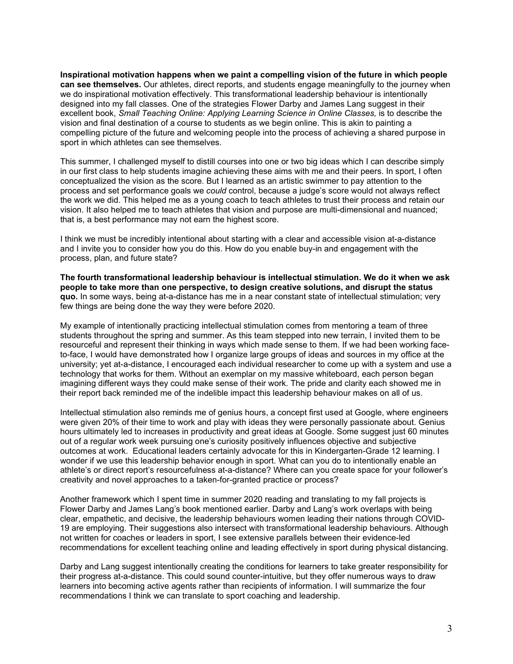**Inspirational motivation happens when we paint a compelling vision of the future in which people can see themselves.** Our athletes, direct reports, and students engage meaningfully to the journey when we do inspirational motivation effectively*.* This transformational leadership behaviour is intentionally designed into my fall classes. One of the strategies Flower Darby and James Lang suggest in their excellent book, *Small Teaching Online: Applying Learning Science in Online Classes,* is to describe the vision and final destination of a course to students as we begin online. This is akin to painting a compelling picture of the future and welcoming people into the process of achieving a shared purpose in sport in which athletes can see themselves.

This summer, I challenged myself to distill courses into one or two big ideas which I can describe simply in our first class to help students imagine achieving these aims with me and their peers. In sport, I often conceptualized the vision as the score. But I learned as an artistic swimmer to pay attention to the process and set performance goals we *could* control, because a judge's score would not always reflect the work we did. This helped me as a young coach to teach athletes to trust their process and retain our vision. It also helped me to teach athletes that vision and purpose are multi-dimensional and nuanced; that is, a best performance may not earn the highest score.

I think we must be incredibly intentional about starting with a clear and accessible vision at-a-distance and I invite you to consider how you do this. How do you enable buy-in and engagement with the process, plan, and future state?

**The fourth transformational leadership behaviour is intellectual stimulation. We do it when we ask people to take more than one perspective, to design creative solutions, and disrupt the status quo.** In some ways, being at-a-distance has me in a near constant state of intellectual stimulation; very few things are being done the way they were before 2020.

My example of intentionally practicing intellectual stimulation comes from mentoring a team of three students throughout the spring and summer. As this team stepped into new terrain, I invited them to be resourceful and represent their thinking in ways which made sense to them. If we had been working faceto-face, I would have demonstrated how I organize large groups of ideas and sources in my office at the university; yet at-a-distance, I encouraged each individual researcher to come up with a system and use a technology that works for them. Without an exemplar on my massive whiteboard, each person began imagining different ways they could make sense of their work. The pride and clarity each showed me in their report back reminded me of the indelible impact this leadership behaviour makes on all of us.

Intellectual stimulation also reminds me of genius hours, a concept first used at Google, where engineers were given 20% of their time to work and play with ideas they were personally passionate about. Genius hours ultimately led to increases in productivity and great ideas at Google. Some suggest just 60 minutes out of a regular work week pursuing one's curiosity positively influences objective and subjective outcomes at work. Educational leaders certainly advocate for this in Kindergarten-Grade 12 learning. I wonder if we use this leadership behavior enough in sport. What can you do to intentionally enable an athlete's or direct report's resourcefulness at-a-distance? Where can you create space for your follower's creativity and novel approaches to a taken-for-granted practice or process?

Another framework which I spent time in summer 2020 reading and translating to my fall projects is Flower Darby and James Lang's book mentioned earlier. Darby and Lang's work overlaps with being clear, empathetic, and decisive, the leadership behaviours women leading their nations through COVID-19 are employing. Their suggestions also intersect with transformational leadership behaviours. Although not written for coaches or leaders in sport, I see extensive parallels between their evidence-led recommendations for excellent teaching online and leading effectively in sport during physical distancing.

Darby and Lang suggest intentionally creating the conditions for learners to take greater responsibility for their progress at-a-distance. This could sound counter-intuitive, but they offer numerous ways to draw learners into becoming active agents rather than recipients of information. I will summarize the four recommendations I think we can translate to sport coaching and leadership.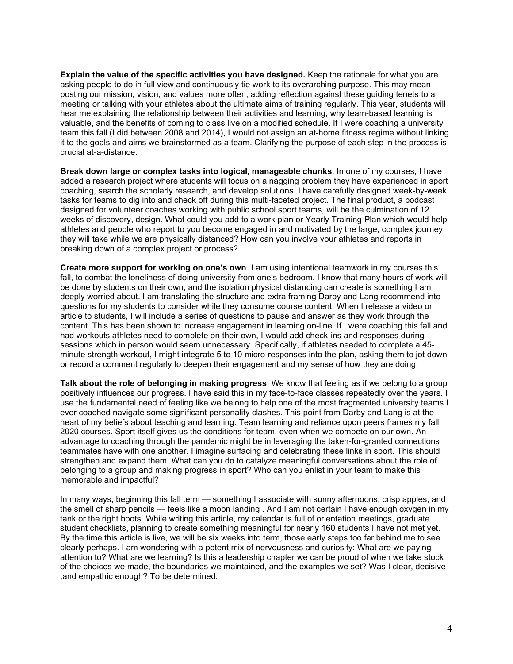**Explain the value of the specific activities you have designed.** Keep the rationale for what you are asking people to do in full view and continuously tie work to its overarching purpose. This may mean posting our mission, vision, and values more often, adding reflection against these guiding tenets to a meeting or talking with your athletes about the ultimate aims of training regularly. This year, students will hear me explaining the relationship between their activities and learning, why team-based learning is valuable, and the benefits of coming to class live on a modified schedule. If I were coaching a university team this fall (I did between 2008 and 2014), I would not assign an at-home fitness regime without linking it to the goals and aims we brainstormed as a team. Clarifying the purpose of each step in the process is crucial at-a-distance.

**Break down large or complex tasks into logical, manageable chunks**. In one of my courses, I have added a research project where students will focus on a nagging problem they have experienced in sport coaching, search the scholarly research, and develop solutions. I have carefully designed week-by-week tasks for teams to dig into and check off during this multi-faceted project. The final product, a podcast designed for volunteer coaches working with public school sport teams, will be the culmination of 12 weeks of discovery, design. What could you add to a work plan or Yearly Training Plan which would help athletes and people who report to you become engaged in and motivated by the large, complex journey they will take while we are physically distanced? How can you involve your athletes and reports in breaking down of a complex project or process?

**Create more support for working on one's own**. I am using intentional teamwork in my courses this fall, to combat the loneliness of doing university from one's bedroom. I know that many hours of work will be done by students on their own, and the isolation physical distancing can create is something I am deeply worried about. I am translating the structure and extra framing Darby and Lang recommend into questions for my students to consider while they consume course content. When I release a video or article to students, I will include a series of questions to pause and answer as they work through the content. This has been shown to increase engagement in learning on-line. If I were coaching this fall and had workouts athletes need to complete on their own, I would add check-ins and responses during sessions which in person would seem unnecessary. Specifically, if athletes needed to complete a 45 minute strength workout, I might integrate 5 to 10 micro-responses into the plan, asking them to jot down or record a comment regularly to deepen their engagement and my sense of how they are doing.

**Talk about the role of belonging in making progress**. We know that feeling as if we belong to a group positively influences our progress. I have said this in my face-to-face classes repeatedly over the years. I use the fundamental need of feeling like we belong to help one of the most fragmented university teams I ever coached navigate some significant personality clashes. This point from Darby and Lang is at the heart of my beliefs about teaching and learning. Team learning and reliance upon peers frames my fall 2020 courses. Sport itself gives us the conditions for team, even when we compete on our own. An advantage to coaching through the pandemic might be in leveraging the taken-for-granted connections teammates have with one another. I imagine surfacing and celebrating these links in sport. This should strengthen and expand them. What can you do to catalyze meaningful conversations about the role of belonging to a group and making progress in sport? Who can you enlist in your team to make this memorable and impactful?

In many ways, beginning this fall term — something I associate with sunny afternoons, crisp apples, and the smell of sharp pencils — feels like a moon landing . And I am not certain I have enough oxygen in my tank or the right boots. While writing this article, my calendar is full of orientation meetings, graduate student checklists, planning to create something meaningful for nearly 160 students I have not met yet. By the time this article is live, we will be six weeks into term, those early steps too far behind me to see clearly perhaps. I am wondering with a potent mix of nervousness and curiosity: What are we paying attention to? What are we learning? Is this a leadership chapter we can be proud of when we take stock of the choices we made, the boundaries we maintained, and the examples we set? Was I clear, decisive ,and empathic enough? To be determined.